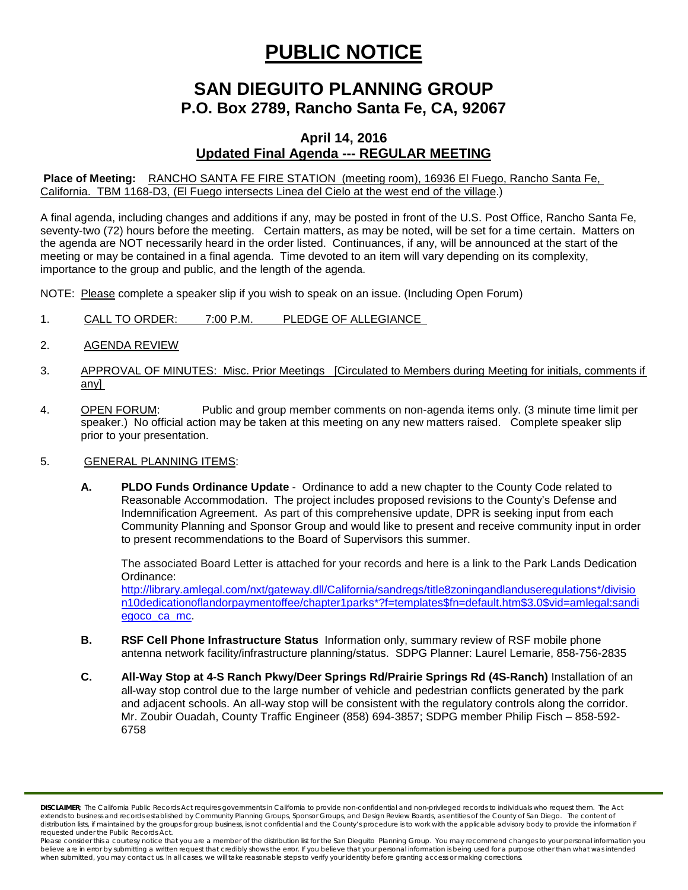# **PUBLIC NOTICE**

# **SAN DIEGUITO PLANNING GROUP P.O. Box 2789, Rancho Santa Fe, CA, 92067**

# **April 14, 2016 Updated Final Agenda --- REGULAR MEETING**

**Place of Meeting:** RANCHO SANTA FE FIRE STATION (meeting room), 16936 El Fuego, Rancho Santa Fe, California. TBM 1168-D3, (El Fuego intersects Linea del Cielo at the west end of the village.)

A final agenda, including changes and additions if any, may be posted in front of the U.S. Post Office, Rancho Santa Fe, seventy-two (72) hours before the meeting. Certain matters, as may be noted, will be set for a time certain. Matters on the agenda are NOT necessarily heard in the order listed. Continuances, if any, will be announced at the start of the meeting or may be contained in a final agenda. Time devoted to an item will vary depending on its complexity, importance to the group and public, and the length of the agenda.

NOTE: Please complete a speaker slip if you wish to speak on an issue. (Including Open Forum)

- 1. CALL TO ORDER: 7:00 P.M. PLEDGE OF ALLEGIANCE
- 2. AGENDA REVIEW
- 3. APPROVAL OF MINUTES: Misc. Prior Meetings [Circulated to Members during Meeting for initials, comments if any]
- 4. OPEN FORUM: Public and group member comments on non-agenda items only. (3 minute time limit per speaker.) No official action may be taken at this meeting on any new matters raised. Complete speaker slip prior to your presentation.

#### 5. GENERAL PLANNING ITEMS:

**A. PLDO Funds Ordinance Update** - Ordinance to add a new chapter to the County Code related to Reasonable Accommodation. The project includes proposed revisions to the County's Defense and Indemnification Agreement. As part of this comprehensive update, DPR is seeking input from each Community Planning and Sponsor Group and would like to present and receive community input in order to present recommendations to the Board of Supervisors this summer.

The associated Board Letter is attached for your records and here is a link to the Park Lands Dedication Ordinance:

[http://library.amlegal.com/nxt/gateway.dll/California/sandregs/title8zoningandlanduseregulations\\*/divisio](http://library.amlegal.com/nxt/gateway.dll/California/sandregs/title8zoningandlanduseregulations*/division10dedicationoflandorpaymentoffee/chapter1parks*?f=templates$fn=default.htm$3.0$vid=amlegal:sandiegoco_ca_mc) [n10dedicationoflandorpaymentoffee/chapter1parks\\*?f=templates\\$fn=default.htm\\$3.0\\$vid=amlegal:sandi](http://library.amlegal.com/nxt/gateway.dll/California/sandregs/title8zoningandlanduseregulations*/division10dedicationoflandorpaymentoffee/chapter1parks*?f=templates$fn=default.htm$3.0$vid=amlegal:sandiegoco_ca_mc) [egoco\\_ca\\_mc.](http://library.amlegal.com/nxt/gateway.dll/California/sandregs/title8zoningandlanduseregulations*/division10dedicationoflandorpaymentoffee/chapter1parks*?f=templates$fn=default.htm$3.0$vid=amlegal:sandiegoco_ca_mc)

- **B. RSF Cell Phone Infrastructure Status** Information only, summary review of RSF mobile phone antenna network facility/infrastructure planning/status. SDPG Planner: Laurel Lemarie, 858-756-2835
- **C. All-Way Stop at 4-S Ranch Pkwy/Deer Springs Rd/Prairie Springs Rd (4S-Ranch)** Installation of an all-way stop control due to the large number of vehicle and pedestrian conflicts generated by the park and adjacent schools. An all-way stop will be consistent with the regulatory controls along the corridor. Mr. Zoubir Ouadah, County Traffic Engineer (858) 694-3857; SDPG member Philip Fisch – 858-592- 6758

*DISCLAIMER; The California Public Records Act requires governments in California to provide non-confidential and non-privileged records to individuals who request them. The Act*  extends to business and records established by Community Planning Groups, Sponsor Groups, and Design Review Boards, as entities of the County of San Diego. The content of distribution lists, if maintained by the groups for group business, is not confidential and the County's procedure is to work with the applicable advisory body to provide the information if *requested under the Public Records Act.*

Please consider this a courtesy notice that you are a member of the distribution list for the San Dieguito Planning Group. You may recommend changes to your personal information you believe are in error by submitting a written request that credibly shows the error. If you believe that your personal information is being used for a purpose other than what was intended<br>when submitted, you may contact us.